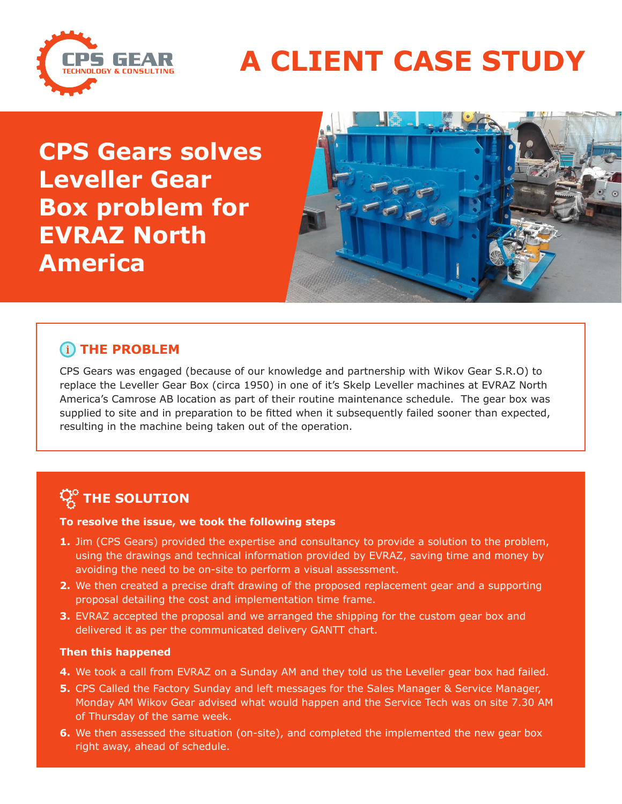

## **A CLIENT CASE STUDY**

**CPS Gears solves Leveller Gear Box problem for EVRAZ North America**



#### **(i) THE PROBLEM**

CPS Gears was engaged (because of our knowledge and partnership with Wikov Gear S.R.O) to replace the Leveller Gear Box (circa 1950) in one of it's Skelp Leveller machines at EVRAZ North America's Camrose AB location as part of their routine maintenance schedule. The gear box was supplied to site and in preparation to be fitted when it subsequently failed sooner than expected, resulting in the machine being taken out of the operation.

### **THE SOLUTION**

#### **To resolve the issue, we took the following steps**

- **1.** Jim (CPS Gears) provided the expertise and consultancy to provide a solution to the problem, using the drawings and technical information provided by EVRAZ, saving time and money by avoiding the need to be on-site to perform a visual assessment.
- **2.** We then created a precise draft drawing of the proposed replacement gear and a supporting proposal detailing the cost and implementation time frame.
- **3.** EVRAZ accepted the proposal and we arranged the shipping for the custom gear box and delivered it as per the communicated delivery GANTT chart.

#### **Then this happened**

- **4.** We took a call from EVRAZ on a Sunday AM and they told us the Leveller gear box had failed.
- **5.** CPS Called the Factory Sunday and left messages for the Sales Manager & Service Manager, Monday AM Wikov Gear advised what would happen and the Service Tech was on site 7.30 AM of Thursday of the same week.
- **6.** We then assessed the situation (on-site), and completed the implemented the new gear box right away, ahead of schedule.